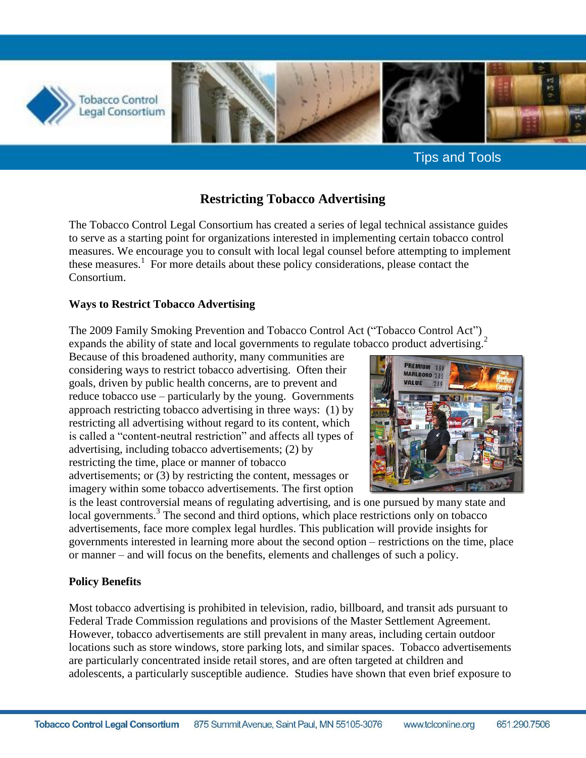

Tips and Tools

# **Restricting Tobacco Advertising**

The Tobacco Control Legal Consortium has created a series of legal technical assistance guides to serve as a starting point for organizations interested in implementing certain tobacco control measures. We encourage you to consult with local legal counsel before attempting to implement these measures.<sup>1</sup> For more details about these policy considerations, please contact the Consortium.

### **Ways to Restrict Tobacco Advertising**

The 2009 Family Smoking Prevention and Tobacco Control Act ("Tobacco Control Act") expands the ability of state and local governments to regulate tobacco product advertising.<sup>2</sup>

Because of this broadened authority, many communities are considering ways to restrict tobacco advertising. Often their goals, driven by public health concerns, are to prevent and reduce tobacco use – particularly by the young. Governments approach restricting tobacco advertising in three ways: (1) by restricting all advertising without regard to its content, which is called a "content-neutral restriction" and affects all types of advertising, including tobacco advertisements; (2) by restricting the time, place or manner of tobacco advertisements; or (3) by restricting the content, messages or imagery within some tobacco advertisements. The first option



is the least controversial means of regulating advertising, and is one pursued by many state and local governments.<sup>3</sup> The second and third options, which place restrictions only on tobacco advertisements, face more complex legal hurdles. This publication will provide insights for governments interested in learning more about the second option – restrictions on the time, place or manner – and will focus on the benefits, elements and challenges of such a policy.

## **Policy Benefits**

Most tobacco advertising is prohibited in television, radio, billboard, and transit ads pursuant to Federal Trade Commission regulations and provisions of the Master Settlement Agreement. However, tobacco advertisements are still prevalent in many areas, including certain outdoor locations such as store windows, store parking lots, and similar spaces. Tobacco advertisements are particularly concentrated inside retail stores, and are often targeted at children and adolescents, a particularly susceptible audience. Studies have shown that even brief exposure to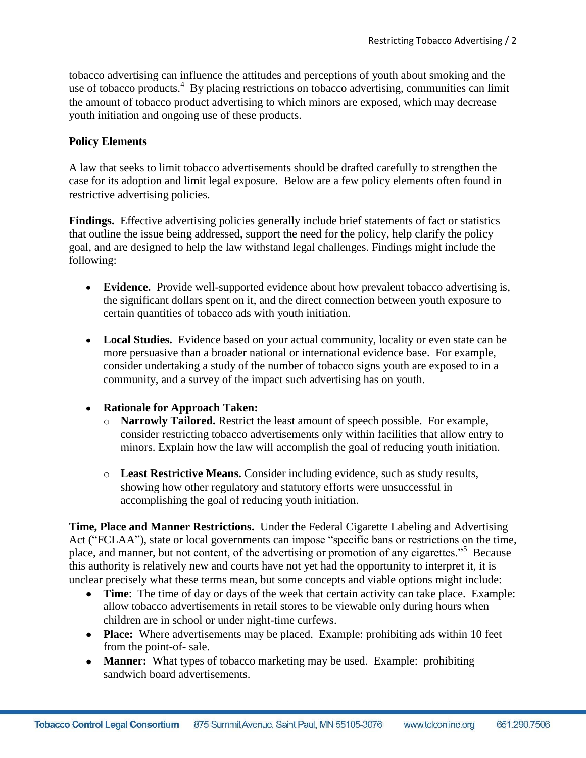tobacco advertising can influence the attitudes and perceptions of youth about smoking and the use of tobacco products.<sup>4</sup> By placing restrictions on tobacco advertising, communities can limit the amount of tobacco product advertising to which minors are exposed, which may decrease youth initiation and ongoing use of these products.

#### **Policy Elements**

A law that seeks to limit tobacco advertisements should be drafted carefully to strengthen the case for its adoption and limit legal exposure. Below are a few policy elements often found in restrictive advertising policies.

**Findings.** Effective advertising policies generally include brief statements of fact or statistics that outline the issue being addressed, support the need for the policy, help clarify the policy goal, and are designed to help the law withstand legal challenges. Findings might include the following:

- **Evidence.** Provide well-supported evidence about how prevalent tobacco advertising is, the significant dollars spent on it, and the direct connection between youth exposure to certain quantities of tobacco ads with youth initiation.
- **Local Studies.** Evidence based on your actual community, locality or even state can be more persuasive than a broader national or international evidence base. For example, consider undertaking a study of the number of tobacco signs youth are exposed to in a community, and a survey of the impact such advertising has on youth.

#### **Rationale for Approach Taken:**

- Narrowly Tailored. Restrict the least amount of speech possible. For example, consider restricting tobacco advertisements only within facilities that allow entry to minors. Explain how the law will accomplish the goal of reducing youth initiation.
- o **Least Restrictive Means.** Consider including evidence, such as study results, showing how other regulatory and statutory efforts were unsuccessful in accomplishing the goal of reducing youth initiation.

**Time, Place and Manner Restrictions.** Under the Federal Cigarette Labeling and Advertising Act ("FCLAA"), state or local governments can impose "specific bans or restrictions on the time, place, and manner, but not content, of the advertising or promotion of any cigarettes."<sup>5</sup> Because this authority is relatively new and courts have not yet had the opportunity to interpret it, it is unclear precisely what these terms mean, but some concepts and viable options might include:

- **Time**: The time of day or days of the week that certain activity can take place. Example: allow tobacco advertisements in retail stores to be viewable only during hours when children are in school or under night-time curfews.
- **Place:** Where advertisements may be placed. Example: prohibiting ads within 10 feet from the point-of- sale.
- **Manner:** What types of tobacco marketing may be used. Example: prohibiting sandwich board advertisements.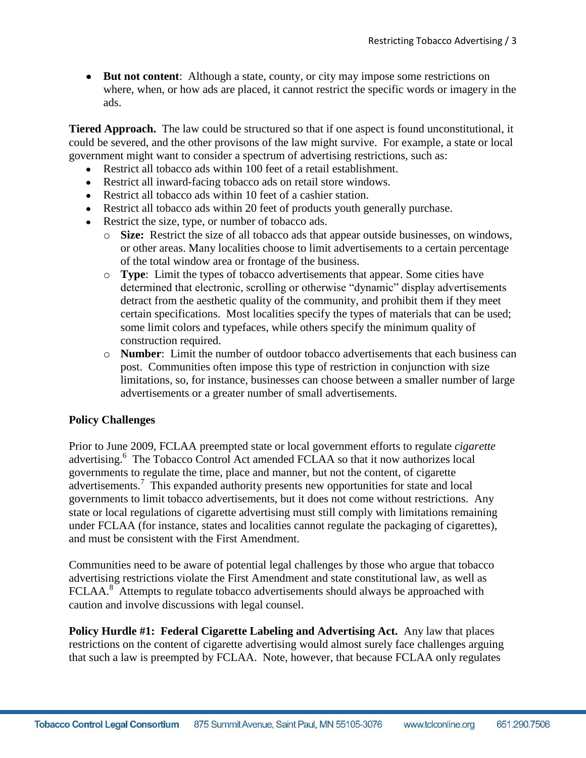• **But not content**: Although a state, county, or city may impose some restrictions on where, when, or how ads are placed, it cannot restrict the specific words or imagery in the ads.

**Tiered Approach.** The law could be structured so that if one aspect is found unconstitutional, it could be severed, and the other provisons of the law might survive. For example, a state or local government might want to consider a spectrum of advertising restrictions, such as:

- Restrict all tobacco ads within 100 feet of a retail establishment.
- Restrict all inward-facing tobacco ads on retail store windows.
- Restrict all tobacco ads within 10 feet of a cashier station.
- Restrict all tobacco ads within 20 feet of products youth generally purchase.
- Restrict the size, type, or number of tobacco ads.
	- o **Size:** Restrict the size of all tobacco ads that appear outside businesses, on windows, or other areas. Many localities choose to limit advertisements to a certain percentage of the total window area or frontage of the business.
	- o **Type**: Limit the types of tobacco advertisements that appear. Some cities have determined that electronic, scrolling or otherwise "dynamic" display advertisements detract from the aesthetic quality of the community, and prohibit them if they meet certain specifications. Most localities specify the types of materials that can be used; some limit colors and typefaces, while others specify the minimum quality of construction required.
	- o **Number**: Limit the number of outdoor tobacco advertisements that each business can post. Communities often impose this type of restriction in conjunction with size limitations, so, for instance, businesses can choose between a smaller number of large advertisements or a greater number of small advertisements.

#### **Policy Challenges**

Prior to June 2009, FCLAA preempted state or local government efforts to regulate *cigarette* advertising. 6 The Tobacco Control Act amended FCLAA so that it now authorizes local governments to regulate the time, place and manner, but not the content, of cigarette advertisements.<sup>7</sup> This expanded authority presents new opportunities for state and local governments to limit tobacco advertisements, but it does not come without restrictions. Any state or local regulations of cigarette advertising must still comply with limitations remaining under FCLAA (for instance, states and localities cannot regulate the packaging of cigarettes), and must be consistent with the First Amendment.

Communities need to be aware of potential legal challenges by those who argue that tobacco advertising restrictions violate the First Amendment and state constitutional law, as well as FCLAA. $8^{\circ}$  Attempts to regulate tobacco advertisements should always be approached with caution and involve discussions with legal counsel.

**Policy Hurdle #1: Federal Cigarette Labeling and Advertising Act.** Any law that places restrictions on the content of cigarette advertising would almost surely face challenges arguing that such a law is preempted by FCLAA. Note, however, that because FCLAA only regulates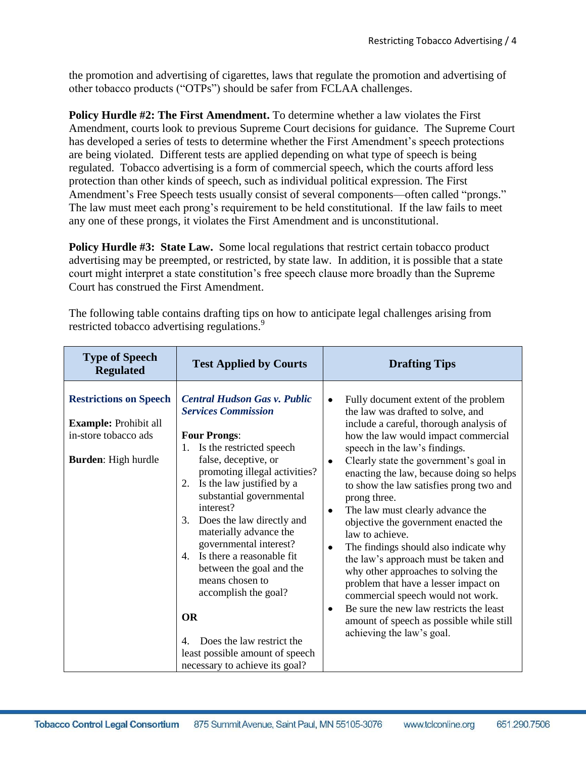the promotion and advertising of cigarettes, laws that regulate the promotion and advertising of other tobacco products ("OTPs") should be safer from FCLAA challenges.

**Policy Hurdle #2: The First Amendment.** To determine whether a law violates the First Amendment, courts look to previous Supreme Court decisions for guidance. The Supreme Court has developed a series of tests to determine whether the First Amendment's speech protections are being violated. Different tests are applied depending on what type of speech is being regulated. Tobacco advertising is a form of commercial speech, which the courts afford less protection than other kinds of speech, such as individual political expression. The First Amendment's Free Speech tests usually consist of several components—often called "prongs." The law must meet each prong's requirement to be held constitutional. If the law fails to meet any one of these prongs, it violates the First Amendment and is unconstitutional.

Policy Hurdle #3: State Law. Some local regulations that restrict certain tobacco product advertising may be preempted, or restricted, by state law. In addition, it is possible that a state court might interpret a state constitution's free speech clause more broadly than the Supreme Court has construed the First Amendment.

The following table contains drafting tips on how to anticipate legal challenges arising from restricted tobacco advertising regulations.<sup>9</sup>

| <b>Type of Speech</b><br><b>Regulated</b>                                                                           | <b>Test Applied by Courts</b>                                                                                                                                                                                                                                                                                                                                                                                                                                                                                                                                                                  | <b>Drafting Tips</b>                                                                                                                                                                                                                                                                                                                                                                                                                                                                                                                                                                                                                                                                                                                                                                                                                   |
|---------------------------------------------------------------------------------------------------------------------|------------------------------------------------------------------------------------------------------------------------------------------------------------------------------------------------------------------------------------------------------------------------------------------------------------------------------------------------------------------------------------------------------------------------------------------------------------------------------------------------------------------------------------------------------------------------------------------------|----------------------------------------------------------------------------------------------------------------------------------------------------------------------------------------------------------------------------------------------------------------------------------------------------------------------------------------------------------------------------------------------------------------------------------------------------------------------------------------------------------------------------------------------------------------------------------------------------------------------------------------------------------------------------------------------------------------------------------------------------------------------------------------------------------------------------------------|
| <b>Restrictions on Speech</b><br><b>Example:</b> Prohibit all<br>in-store tobacco ads<br><b>Burden:</b> High hurdle | <b>Central Hudson Gas v. Public</b><br><b>Services Commission</b><br><b>Four Prongs:</b><br>Is the restricted speech<br>1.<br>false, deceptive, or<br>promoting illegal activities?<br>Is the law justified by a<br>2.<br>substantial governmental<br>interest?<br>Does the law directly and<br>3.<br>materially advance the<br>governmental interest?<br>Is there a reasonable fit<br>$4_{\cdot}$<br>between the goal and the<br>means chosen to<br>accomplish the goal?<br><b>OR</b><br>Does the law restrict the<br>4.<br>least possible amount of speech<br>necessary to achieve its goal? | Fully document extent of the problem<br>$\bullet$<br>the law was drafted to solve, and<br>include a careful, thorough analysis of<br>how the law would impact commercial<br>speech in the law's findings.<br>Clearly state the government's goal in<br>$\bullet$<br>enacting the law, because doing so helps<br>to show the law satisfies prong two and<br>prong three.<br>The law must clearly advance the<br>$\bullet$<br>objective the government enacted the<br>law to achieve.<br>The findings should also indicate why<br>$\bullet$<br>the law's approach must be taken and<br>why other approaches to solving the<br>problem that have a lesser impact on<br>commercial speech would not work.<br>Be sure the new law restricts the least<br>$\bullet$<br>amount of speech as possible while still<br>achieving the law's goal. |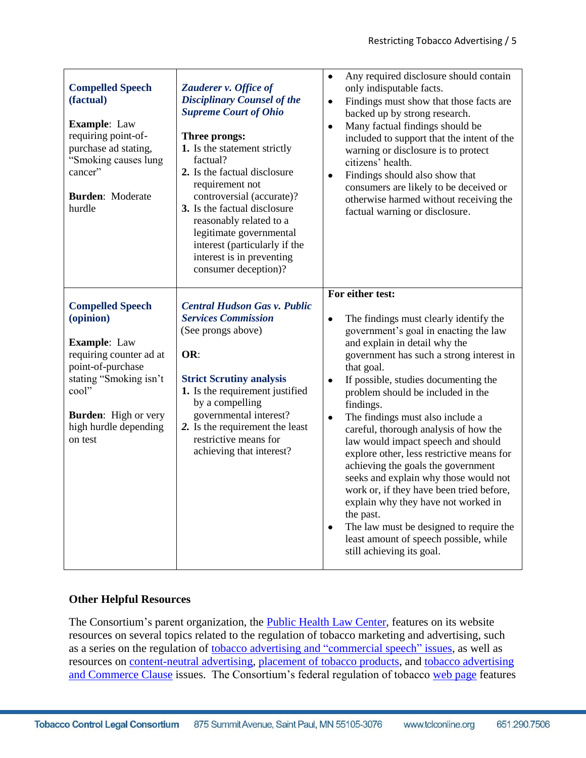| <b>Compelled Speech</b><br>(factual)<br><b>Example:</b> Law<br>requiring point-of-<br>purchase ad stating,<br>"Smoking causes lung<br>cancer"<br><b>Burden:</b> Moderate<br>hurdle                                | Zauderer v. Office of<br><b>Disciplinary Counsel of the</b><br><b>Supreme Court of Ohio</b><br>Three prongs:<br>1. Is the statement strictly<br>factual?<br>2. Is the factual disclosure<br>requirement not<br>controversial (accurate)?<br>3. Is the factual disclosure<br>reasonably related to a<br>legitimate governmental<br>interest (particularly if the<br>interest is in preventing<br>consumer deception)? | Any required disclosure should contain<br>$\bullet$<br>only indisputable facts.<br>Findings must show that those facts are<br>$\bullet$<br>backed up by strong research.<br>Many factual findings should be<br>$\bullet$<br>included to support that the intent of the<br>warning or disclosure is to protect<br>citizens' health.<br>Findings should also show that<br>$\bullet$<br>consumers are likely to be deceived or<br>otherwise harmed without receiving the<br>factual warning or disclosure.                                                                                                                                                                                                                                                                                                       |
|-------------------------------------------------------------------------------------------------------------------------------------------------------------------------------------------------------------------|----------------------------------------------------------------------------------------------------------------------------------------------------------------------------------------------------------------------------------------------------------------------------------------------------------------------------------------------------------------------------------------------------------------------|---------------------------------------------------------------------------------------------------------------------------------------------------------------------------------------------------------------------------------------------------------------------------------------------------------------------------------------------------------------------------------------------------------------------------------------------------------------------------------------------------------------------------------------------------------------------------------------------------------------------------------------------------------------------------------------------------------------------------------------------------------------------------------------------------------------|
| <b>Compelled Speech</b><br>(opinion)<br><b>Example:</b> Law<br>requiring counter ad at<br>point-of-purchase<br>stating "Smoking isn't<br>cool"<br><b>Burden:</b> High or very<br>high hurdle depending<br>on test | <b>Central Hudson Gas v. Public</b><br><b>Services Commission</b><br>(See prongs above)<br>OR:<br><b>Strict Scrutiny analysis</b><br>1. Is the requirement justified<br>by a compelling<br>governmental interest?<br>2. Is the requirement the least<br>restrictive means for<br>achieving that interest?                                                                                                            | For either test:<br>$\bullet$<br>The findings must clearly identify the<br>government's goal in enacting the law<br>and explain in detail why the<br>government has such a strong interest in<br>that goal.<br>If possible, studies documenting the<br>$\bullet$<br>problem should be included in the<br>findings.<br>The findings must also include a<br>$\bullet$<br>careful, thorough analysis of how the<br>law would impact speech and should<br>explore other, less restrictive means for<br>achieving the goals the government<br>seeks and explain why those would not<br>work or, if they have been tried before,<br>explain why they have not worked in<br>the past.<br>The law must be designed to require the<br>$\bullet$<br>least amount of speech possible, while<br>still achieving its goal. |

## **Other Helpful Resources**

The Consortium's parent organization, the [Public Health Law Center,](http://publichealthlawcenter.org/) features on its website resources on several topics related to the regulation of tobacco marketing and advertising, such as a series on the regulation of tobacco advertising and "commercial speech" issues, as well as resources on [content-neutral advertising,](http://publichealthlawcenter.org/sites/default/files/resources/tclc-guide-contentneutralads-2011l.pdf) [placement of tobacco products,](http://www.publichealthlawcenter.org/sites/default/files/resources/tclc-guide-placementoftobprods-2011.pdf) and [tobacco advertising](http://publichealthlawcenter.org/sites/default/files/resources/tclc-fs-regadvert-2010.pdf)  [and Commerce Clause](http://publichealthlawcenter.org/sites/default/files/resources/tclc-fs-regadvert-2010.pdf) issues. The Consortium's federal regulation of tobacco [web page](http://publichealthlawcenter.org/topics/special-collections/federal-regulation-tobacco-collection) features